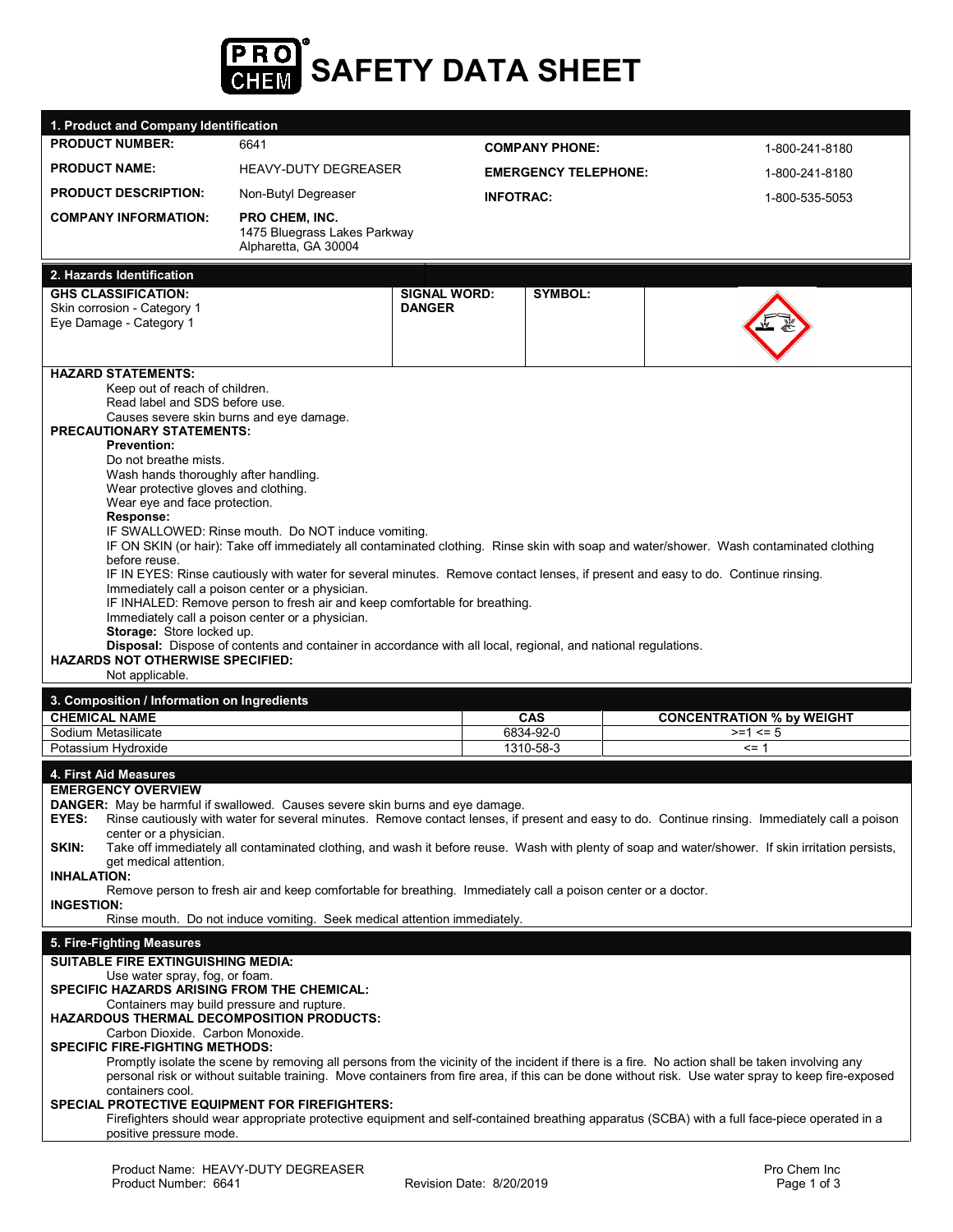

| 1. Product and Company Identification                                                                             |                                                                                                               |                             |           |                                                                                                                                                                                                                                                                                                       |  |  |
|-------------------------------------------------------------------------------------------------------------------|---------------------------------------------------------------------------------------------------------------|-----------------------------|-----------|-------------------------------------------------------------------------------------------------------------------------------------------------------------------------------------------------------------------------------------------------------------------------------------------------------|--|--|
| <b>PRODUCT NUMBER:</b>                                                                                            | 6641                                                                                                          | <b>COMPANY PHONE:</b>       |           | 1-800-241-8180                                                                                                                                                                                                                                                                                        |  |  |
| <b>PRODUCT NAME:</b>                                                                                              | <b>HEAVY-DUTY DEGREASER</b>                                                                                   | <b>EMERGENCY TELEPHONE:</b> |           | 1-800-241-8180                                                                                                                                                                                                                                                                                        |  |  |
| <b>PRODUCT DESCRIPTION:</b>                                                                                       | Non-Butyl Degreaser                                                                                           | <b>INFOTRAC:</b>            |           | 1-800-535-5053                                                                                                                                                                                                                                                                                        |  |  |
| <b>COMPANY INFORMATION:</b>                                                                                       | <b>PRO CHEM, INC.</b><br>1475 Bluegrass Lakes Parkway<br>Alpharetta, GA 30004                                 |                             |           |                                                                                                                                                                                                                                                                                                       |  |  |
| 2. Hazards Identification                                                                                         |                                                                                                               |                             |           |                                                                                                                                                                                                                                                                                                       |  |  |
| <b>GHS CLASSIFICATION:</b>                                                                                        |                                                                                                               | <b>SIGNAL WORD:</b>         | SYMBOL:   |                                                                                                                                                                                                                                                                                                       |  |  |
| Skin corrosion - Category 1<br>Eye Damage - Category 1                                                            |                                                                                                               | <b>DANGER</b>               |           |                                                                                                                                                                                                                                                                                                       |  |  |
|                                                                                                                   |                                                                                                               |                             |           |                                                                                                                                                                                                                                                                                                       |  |  |
|                                                                                                                   |                                                                                                               |                             |           |                                                                                                                                                                                                                                                                                                       |  |  |
| <b>HAZARD STATEMENTS:</b><br>Keep out of reach of children.                                                       |                                                                                                               |                             |           |                                                                                                                                                                                                                                                                                                       |  |  |
| Read label and SDS before use.                                                                                    |                                                                                                               |                             |           |                                                                                                                                                                                                                                                                                                       |  |  |
| <b>PRECAUTIONARY STATEMENTS:</b>                                                                                  | Causes severe skin burns and eye damage.                                                                      |                             |           |                                                                                                                                                                                                                                                                                                       |  |  |
| <b>Prevention:</b>                                                                                                |                                                                                                               |                             |           |                                                                                                                                                                                                                                                                                                       |  |  |
| Do not breathe mists.                                                                                             |                                                                                                               |                             |           |                                                                                                                                                                                                                                                                                                       |  |  |
| Wash hands thoroughly after handling.<br>Wear protective gloves and clothing.                                     |                                                                                                               |                             |           |                                                                                                                                                                                                                                                                                                       |  |  |
| Wear eye and face protection.                                                                                     |                                                                                                               |                             |           |                                                                                                                                                                                                                                                                                                       |  |  |
| Response:                                                                                                         | IF SWALLOWED: Rinse mouth. Do NOT induce vomiting.                                                            |                             |           |                                                                                                                                                                                                                                                                                                       |  |  |
|                                                                                                                   |                                                                                                               |                             |           | IF ON SKIN (or hair): Take off immediately all contaminated clothing. Rinse skin with soap and water/shower. Wash contaminated clothing                                                                                                                                                               |  |  |
| before reuse.                                                                                                     |                                                                                                               |                             |           | IF IN EYES: Rinse cautiously with water for several minutes. Remove contact lenses, if present and easy to do. Continue rinsing.                                                                                                                                                                      |  |  |
|                                                                                                                   | Immediately call a poison center or a physician.                                                              |                             |           |                                                                                                                                                                                                                                                                                                       |  |  |
|                                                                                                                   | IF INHALED: Remove person to fresh air and keep comfortable for breathing.                                    |                             |           |                                                                                                                                                                                                                                                                                                       |  |  |
| Immediately call a poison center or a physician.<br>Storage: Store locked up.                                     |                                                                                                               |                             |           |                                                                                                                                                                                                                                                                                                       |  |  |
|                                                                                                                   |                                                                                                               |                             |           |                                                                                                                                                                                                                                                                                                       |  |  |
|                                                                                                                   | Disposal: Dispose of contents and container in accordance with all local, regional, and national regulations. |                             |           |                                                                                                                                                                                                                                                                                                       |  |  |
| <b>HAZARDS NOT OTHERWISE SPECIFIED:</b><br>Not applicable.                                                        |                                                                                                               |                             |           |                                                                                                                                                                                                                                                                                                       |  |  |
| 3. Composition / Information on Ingredients                                                                       |                                                                                                               |                             |           |                                                                                                                                                                                                                                                                                                       |  |  |
| <b>CHEMICAL NAME</b>                                                                                              |                                                                                                               |                             | CAS       | <b>CONCENTRATION % by WEIGHT</b>                                                                                                                                                                                                                                                                      |  |  |
| Sodium Metasilicate                                                                                               |                                                                                                               |                             | 6834-92-0 | $>=1 \le 5$                                                                                                                                                                                                                                                                                           |  |  |
| Potassium Hydroxide                                                                                               |                                                                                                               |                             | 1310-58-3 | $= 1$                                                                                                                                                                                                                                                                                                 |  |  |
| 4. First Aid Measures                                                                                             |                                                                                                               |                             |           |                                                                                                                                                                                                                                                                                                       |  |  |
| <b>EMERGENCY OVERVIEW</b><br><b>DANGER:</b> May be harmful if swallowed. Causes severe skin burns and eye damage. |                                                                                                               |                             |           |                                                                                                                                                                                                                                                                                                       |  |  |
| EYES:                                                                                                             |                                                                                                               |                             |           | Rinse cautiously with water for several minutes. Remove contact lenses, if present and easy to do. Continue rinsing. Immediately call a poison                                                                                                                                                        |  |  |
| center or a physician.<br>SKIN:                                                                                   |                                                                                                               |                             |           | Take off immediately all contaminated clothing, and wash it before reuse. Wash with plenty of soap and water/shower. If skin irritation persists,                                                                                                                                                     |  |  |
| get medical attention.                                                                                            |                                                                                                               |                             |           |                                                                                                                                                                                                                                                                                                       |  |  |
| <b>INHALATION:</b>                                                                                                | Remove person to fresh air and keep comfortable for breathing. Immediately call a poison center or a doctor.  |                             |           |                                                                                                                                                                                                                                                                                                       |  |  |
| <b>INGESTION:</b>                                                                                                 |                                                                                                               |                             |           |                                                                                                                                                                                                                                                                                                       |  |  |
|                                                                                                                   | Rinse mouth. Do not induce vomiting. Seek medical attention immediately.                                      |                             |           |                                                                                                                                                                                                                                                                                                       |  |  |
| 5. Fire-Fighting Measures                                                                                         |                                                                                                               |                             |           |                                                                                                                                                                                                                                                                                                       |  |  |
| <b>SUITABLE FIRE EXTINGUISHING MEDIA:</b>                                                                         |                                                                                                               |                             |           |                                                                                                                                                                                                                                                                                                       |  |  |
| Use water spray, fog, or foam.<br>SPECIFIC HAZARDS ARISING FROM THE CHEMICAL:                                     |                                                                                                               |                             |           |                                                                                                                                                                                                                                                                                                       |  |  |
| Containers may build pressure and rupture.                                                                        |                                                                                                               |                             |           |                                                                                                                                                                                                                                                                                                       |  |  |
| HAZARDOUS THERMAL DECOMPOSITION PRODUCTS:<br>Carbon Dioxide. Carbon Monoxide.                                     |                                                                                                               |                             |           |                                                                                                                                                                                                                                                                                                       |  |  |
| <b>SPECIFIC FIRE-FIGHTING METHODS:</b>                                                                            |                                                                                                               |                             |           |                                                                                                                                                                                                                                                                                                       |  |  |
|                                                                                                                   |                                                                                                               |                             |           | Promptly isolate the scene by removing all persons from the vicinity of the incident if there is a fire. No action shall be taken involving any<br>personal risk or without suitable training. Move containers from fire area, if this can be done without risk. Use water spray to keep fire-exposed |  |  |
| containers cool.                                                                                                  |                                                                                                               |                             |           |                                                                                                                                                                                                                                                                                                       |  |  |
| <b>SPECIAL PROTECTIVE EQUIPMENT FOR FIREFIGHTERS:</b>                                                             |                                                                                                               |                             |           | Firefighters should wear appropriate protective equipment and self-contained breathing apparatus (SCBA) with a full face-piece operated in a                                                                                                                                                          |  |  |
| positive pressure mode.                                                                                           |                                                                                                               |                             |           |                                                                                                                                                                                                                                                                                                       |  |  |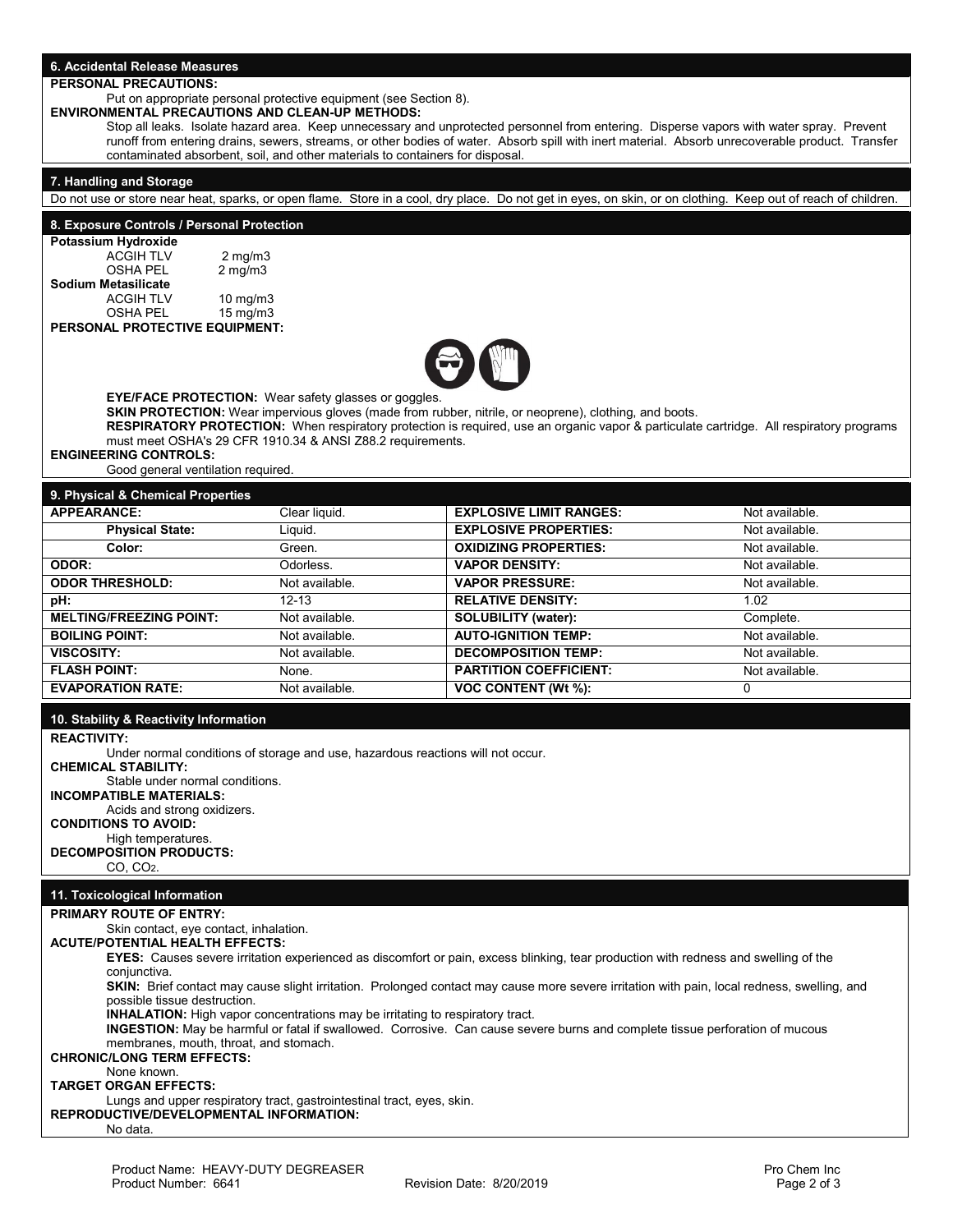# **6. Accidental Release Measures**

## **PERSONAL PRECAUTIONS:**

Put on appropriate personal protective equipment (see Section 8).

# **ENVIRONMENTAL PRECAUTIONS AND CLEAN-UP METHODS:**

Stop all leaks. Isolate hazard area. Keep unnecessary and unprotected personnel from entering. Disperse vapors with water spray. Prevent runoff from entering drains, sewers, streams, or other bodies of water. Absorb spill with inert material. Absorb unrecoverable product. Transfer contaminated absorbent, soil, and other materials to containers for disposal.

#### **7. Handling and Storage**

Do not use or store near heat, sparks, or open flame. Store in a cool, dry place. Do not get in eyes, on skin, or on clothing. Keep out of reach of children.

#### **8. Exposure Controls / Personal Protection**

| Potassium Hydroxide |               |  |  |  |  |
|---------------------|---------------|--|--|--|--|
| <b>ACGIH TLV</b>    | $2$ mg/m $3$  |  |  |  |  |
| <b>OSHA PEL</b>     | $2$ mg/m $3$  |  |  |  |  |
| Sodium Metasilicate |               |  |  |  |  |
| <b>ACGIH TLV</b>    | $10$ mg/m $3$ |  |  |  |  |
| <b>OSHA PEL</b>     | 15 mg/m3      |  |  |  |  |

## **PERSONAL PROTECTIVE EQUIPMENT:**



**EYE/FACE PROTECTION:** Wear safety glasses or goggles.

**SKIN PROTECTION:** Wear impervious gloves (made from rubber, nitrile, or neoprene), clothing, and boots. **RESPIRATORY PROTECTION:** When respiratory protection is required, use an organic vapor & particulate cartridge. All respiratory programs must meet OSHA's 29 CFR 1910.34 & ANSI Z88.2 requirements.

#### **ENGINEERING CONTROLS:**

Good general ventilation required.

# **9. Physical & Chemical Properties**

| 3. Filiyəlcal & Oliefilical Filopertles |                |                                |                |  |  |
|-----------------------------------------|----------------|--------------------------------|----------------|--|--|
| <b>APPEARANCE:</b>                      | Clear liquid.  | <b>EXPLOSIVE LIMIT RANGES:</b> | Not available. |  |  |
| <b>Physical State:</b>                  | Liguid.        | <b>EXPLOSIVE PROPERTIES:</b>   | Not available. |  |  |
| Color:                                  | Green.         | <b>OXIDIZING PROPERTIES:</b>   | Not available. |  |  |
| ODOR:                                   | Odorless.      | <b>VAPOR DENSITY:</b>          | Not available. |  |  |
| <b>ODOR THRESHOLD:</b>                  | Not available. | <b>VAPOR PRESSURE:</b>         | Not available. |  |  |
| pH:                                     | $12 - 13$      | <b>RELATIVE DENSITY:</b>       | 1.02           |  |  |
| <b>MELTING/FREEZING POINT:</b>          | Not available. | <b>SOLUBILITY (water):</b>     | Complete.      |  |  |
| <b>BOILING POINT:</b>                   | Not available. | <b>AUTO-IGNITION TEMP:</b>     | Not available. |  |  |
| VISCOSITY:                              | Not available. | <b>DECOMPOSITION TEMP:</b>     | Not available. |  |  |
| <b>FLASH POINT:</b>                     | None.          | <b>PARTITION COEFFICIENT:</b>  | Not available. |  |  |
| <b>EVAPORATION RATE:</b>                | Not available. | <b>VOC CONTENT (Wt %):</b>     |                |  |  |

### **10. Stability & Reactivity Information**

**REACTIVITY:**

Under normal conditions of storage and use, hazardous reactions will not occur. **CHEMICAL STABILITY:** 

Stable under normal conditions.

**INCOMPATIBLE MATERIALS:**

Acids and strong oxidizers.

## **CONDITIONS TO AVOID:**

High temperatures.

#### **DECOMPOSITION PRODUCTS:** CO, CO2.

# **11. Toxicological Information**

#### **PRIMARY ROUTE OF ENTRY:**

Skin contact, eye contact, inhalation.

#### **ACUTE/POTENTIAL HEALTH EFFECTS: EYES:** Causes severe irritation experienced as discomfort or pain, excess blinking, tear production with redness and swelling of the

conjunctiva.

**SKIN:** Brief contact may cause slight irritation. Prolonged contact may cause more severe irritation with pain, local redness, swelling, and possible tissue destruction.

**INHALATION:** High vapor concentrations may be irritating to respiratory tract.

**INGESTION:** May be harmful or fatal if swallowed. Corrosive. Can cause severe burns and complete tissue perforation of mucous membranes, mouth, throat, and stomach.

# **CHRONIC/LONG TERM EFFECTS:**

# None known.

**TARGET ORGAN EFFECTS:**

Lungs and upper respiratory tract, gastrointestinal tract, eyes, skin. **REPRODUCTIVE/DEVELOPMENTAL INFORMATION:**

No data.